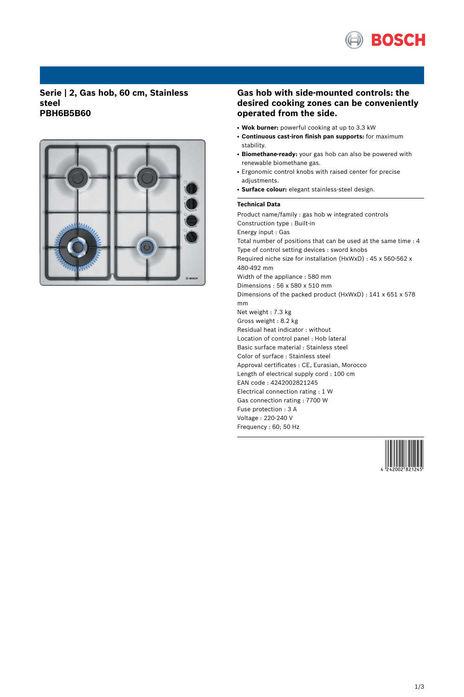

## **Serie | 2, Gas hob, 60 cm, Stainless steel PBH6B5B60**



## **Gas hob with side-mounted controls: the desired cooking zones can be conveniently operated from the side.**

- **Wok burner:** powerful cooking at up to 3.3 kW
- **Continuous cast-iron finish pan supports:** for maximum stability.
- Biomethane-ready: your gas hob can also be powered with renewable biomethane gas.
- Ergonomic control knobs with raised center for precise adjustments.
- **Surface colour:** elegant stainless-steel design.

### **Technical Data**

Product name/family : gas hob w integrated controls Construction type : Built-in Energy input : Gas Total number of positions that can be used at the same time : 4 Type of control setting devices : sword knobs Required niche size for installation (HxWxD) : 45 x 560-562 x 480-492 mm Width of the appliance : 580 mm Dimensions : 56 x 580 x 510 mm Dimensions of the packed product (HxWxD) : 141 x 651 x 578 mm Net weight : 7.3 kg Gross weight : 8.2 kg Residual heat indicator : without Location of control panel : Hob lateral Basic surface material : Stainless steel Color of surface : Stainless steel Approval certificates : CE, Eurasian, Morocco Length of electrical supply cord : 100 cm EAN code : 4242002821245 Electrical connection rating : 1 W Gas connection rating : 7700 W Fuse protection : 3 A Voltage : 220-240 V Frequency : 60; 50 Hz

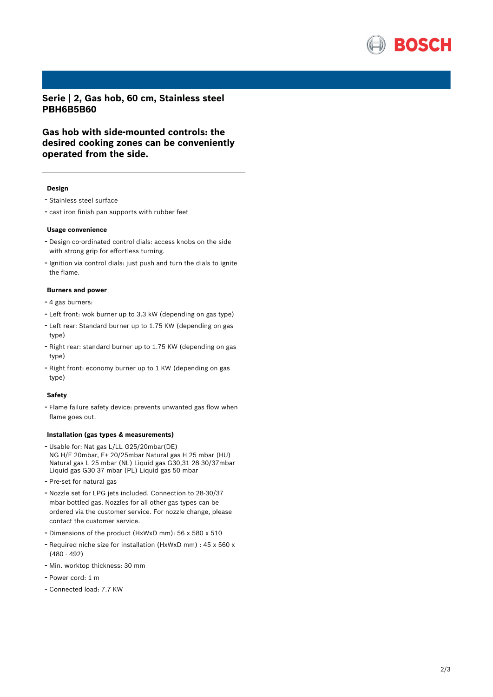

**Serie | 2, Gas hob, 60 cm, Stainless steel PBH6B5B60**

**Gas hob with side-mounted controls: the desired cooking zones can be conveniently operated from the side.**

#### **Design**

- Stainless steel surface
- cast iron finish pan supports with rubber feet

#### **Usage convenience**

- Design co-ordinated control dials: access knobs on the side with strong grip for effortless turning.
- Ignition via control dials: just push and turn the dials to ignite the flame.

### **Burners and power**

- <sup>4</sup> gas burners:
- Left front: wok burner up to 3.3 kW (depending on gas type)
- Left rear: Standard burner up to 1.75 KW (depending on gas type)
- Right rear: standard burner up to 1.75 KW (depending on gas type)
- Right front: economy burner up to <sup>1</sup> KW (depending on gas type)

#### **Safety**

- Flame failure safety device: prevents unwanted gas flow when flame goes out.

#### **Installation (gas types & measurements)**

- Usable for: Nat gas L/LL G25/20mbar(DE) NG H/E 20mbar, E+ 20/25mbar Natural gas H 25 mbar (HU) Natural gas L 25 mbar (NL) Liquid gas G30,31 28-30/37mbar Liquid gas G30 37 mbar (PL) Liquid gas 50 mbar
- Pre-set for natural gas
- Nozzle set for LPG jets included. Connection to 28-30/37 mbar bottled gas. Nozzles for all other gas types can be ordered via the customer service. For nozzle change, please contact the customer service.
- Dimensions of the product (HxWxD mm): <sup>56</sup> <sup>x</sup> <sup>580</sup> <sup>x</sup> <sup>510</sup>
- Required niche size for installation (HxWxD mm) : <sup>45</sup> <sup>x</sup> <sup>560</sup> <sup>x</sup> (480 - 492)
- Min. worktop thickness: <sup>30</sup> mm
- Power cord: <sup>1</sup> <sup>m</sup>
- Connected load: 7.7 KW